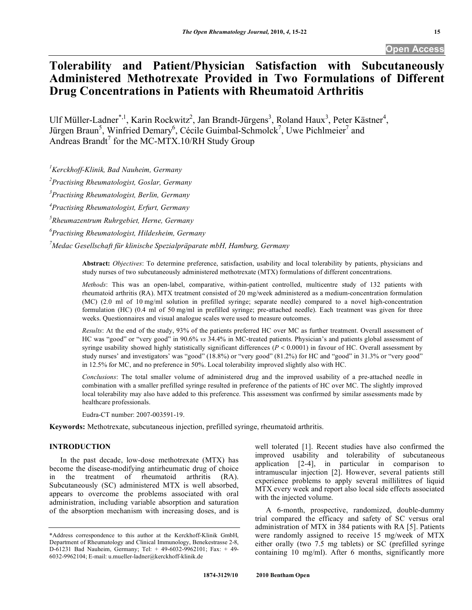# **Tolerability and Patient/Physician Satisfaction with Subcutaneously Administered Methotrexate Provided in Two Formulations of Different Drug Concentrations in Patients with Rheumatoid Arthritis**

Ulf Müller-Ladner\*,<sup>1</sup>, Karin Rockwitz<sup>2</sup>, Jan Brandt-Jürgens<sup>3</sup>, Roland Haux<sup>3</sup>, Peter Kästner<sup>4</sup>, Jürgen Braun<sup>5</sup>, Winfried Demary<sup>6</sup>, Cécile Guimbal-Schmolck<sup>7</sup>, Uwe Pichlmeier<sup>7</sup> and Andreas Brandt<sup>7</sup> for the MC-MTX.10/RH Study Group

*1 Kerckhoff-Klinik, Bad Nauheim, Germany* 

*2 Practising Rheumatologist, Goslar, Germany* 

*3 Practising Rheumatologist, Berlin, Germany* 

*4 Practising Rheumatologist, Erfurt, Germany* 

*5 Rheumazentrum Ruhrgebiet, Herne, Germany* 

*6 Practising Rheumatologist, Hildesheim, Germany* 

*7 Medac Gesellschaft für klinische Spezialpräparate mbH, Hamburg, Germany* 

**Abstract:** *Objectives*: To determine preference, satisfaction, usability and local tolerability by patients, physicians and study nurses of two subcutaneously administered methotrexate (MTX) formulations of different concentrations.

*Methods*: This was an open-label, comparative, within-patient controlled, multicentre study of 132 patients with rheumatoid arthritis (RA). MTX treatment consisted of 20 mg/week administered as a medium-concentration formulation (MC) (2.0 ml of 10 mg/ml solution in prefilled syringe; separate needle) compared to a novel high-concentration formulation (HC) (0.4 ml of 50 mg/ml in prefilled syringe; pre-attached needle). Each treatment was given for three weeks. Questionnaires and visual analogue scales were used to measure outcomes.

*Results*: At the end of the study, 93% of the patients preferred HC over MC as further treatment. Overall assessment of HC was "good" or "very good" in 90.6% *vs* 34.4% in MC-treated patients. Physician's and patients global assessment of syringe usability showed highly statistically significant differences  $(P < 0.0001)$  in favour of HC. Overall assessment by study nurses' and investigators' was "good" (18.8%) or "very good" (81.2%) for HC and "good" in 31.3% or "very good" in 12.5% for MC, and no preference in 50%. Local tolerability improved slightly also with HC.

*Conclusions*: The total smaller volume of administered drug and the improved usability of a pre-attached needle in combination with a smaller prefilled syringe resulted in preference of the patients of HC over MC. The slightly improved local tolerability may also have added to this preference. This assessment was confirmed by similar assessments made by healthcare professionals.

Eudra-CT number: 2007-003591-19.

**Keywords:** Methotrexate, subcutaneous injection, prefilled syringe, rheumatoid arthritis.

# **INTRODUCTION**

 In the past decade, low-dose methotrexate (MTX) has become the disease-modifying antirheumatic drug of choice in the treatment of rheumatoid arthritis (RA). Subcutaneously (SC) administered MTX is well absorbed, appears to overcome the problems associated with oral administration, including variable absorption and saturation of the absorption mechanism with increasing doses, and is well tolerated [1]. Recent studies have also confirmed the improved usability and tolerability of subcutaneous application [2-4], in particular in comparison to intramuscular injection [2]. However, several patients still experience problems to apply several millilitres of liquid MTX every week and report also local side effects associated with the injected volume.

 A 6-month, prospective, randomized, double-dummy trial compared the efficacy and safety of SC versus oral administration of MTX in 384 patients with RA [5]. Patients were randomly assigned to receive 15 mg/week of MTX either orally (two 7.5 mg tablets) or SC (prefilled syringe containing 10 mg/ml). After 6 months, significantly more

<sup>\*</sup>Address correspondence to this author at the Kerckhoff-Klinik GmbH, Department of Rheumatology and Clinical Immunology, Benekestrasse 2-8, D-61231 Bad Nauheim, Germany; Tel: + 49-6032-9962101; Fax: + 49- 6032-9962104; E-mail: u.mueller-ladner@kerckhoff-klinik.de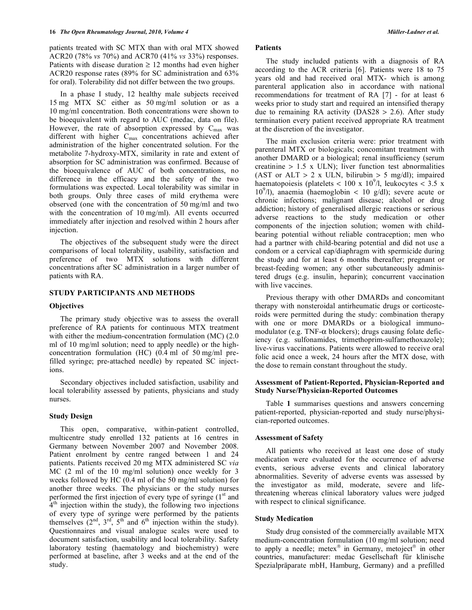patients treated with SC MTX than with oral MTX showed ACR20 (78% *vs* 70%) and ACR70 (41% *vs* 33%) responses. Patients with disease duration  $\geq 12$  months had even higher ACR20 response rates (89% for SC administration and 63% for oral). Tolerability did not differ between the two groups.

 In a phase I study, 12 healthy male subjects received 15 mg MTX SC either as 50 mg/ml solution or as a 10 mg/ml concentration. Both concentrations were shown to be bioequivalent with regard to AUC (medac, data on file). However, the rate of absorption expressed by  $C_{\text{max}}$  was different with higher  $C_{\text{max}}$  concentrations achieved after administration of the higher concentrated solution. For the metabolite 7-hydroxy-MTX, similarity in rate and extent of absorption for SC administration was confirmed. Because of the bioequivalence of AUC of both concentrations, no difference in the efficacy and the safety of the two formulations was expected. Local tolerability was similar in both groups. Only three cases of mild erythema were observed (one with the concentration of 50 mg/ml and two with the concentration of 10 mg/ml). All events occurred immediately after injection and resolved within 2 hours after injection.

 The objectives of the subsequent study were the direct comparisons of local tolerability, usability, satisfaction and preference of two MTX solutions with different concentrations after SC administration in a larger number of patients with RA.

#### **STUDY PARTICIPANTS AND METHODS**

#### **Objectives**

 The primary study objective was to assess the overall preference of RA patients for continuous MTX treatment with either the medium-concentration formulation (MC) (2.0) ml of 10 mg/ml solution; need to apply needle) or the highconcentration formulation (HC) (0.4 ml of 50 mg/ml prefilled syringe; pre-attached needle) by repeated SC injections.

 Secondary objectives included satisfaction, usability and local tolerability assessed by patients, physicians and study nurses.

#### **Study Design**

 This open, comparative, within-patient controlled, multicentre study enrolled 132 patients at 16 centres in Germany between November 2007 and November 2008. Patient enrolment by centre ranged between 1 and 24 patients. Patients received 20 mg MTX administered SC *via*  MC (2 ml of the 10 mg/ml solution) once weekly for 3 weeks followed by HC (0.4 ml of the 50 mg/ml solution) for another three weeks. The physicians or the study nurses performed the first injection of every type of syringe  $(1<sup>st</sup>$  and  $4<sup>th</sup>$  injection within the study), the following two injections of every type of syringe were performed by the patients themselves  $(2<sup>nd</sup>, 3<sup>rd</sup>, 5<sup>th</sup>$  and 6<sup>th</sup> injection within the study). Questionnaires and visual analogue scales were used to document satisfaction, usability and local tolerability. Safety laboratory testing (haematology and biochemistry) were performed at baseline, after 3 weeks and at the end of the study.

# **Patients**

 The study included patients with a diagnosis of RA according to the ACR criteria [6]. Patients were 18 to 75 years old and had received oral MTX- which is among parenteral application also in accordance with national recommendations for treatment of RA [7] - for at least 6 weeks prior to study start and required an intensified therapy due to remaining RA activity ( $DAS28 > 2.6$ ). After study termination every patient received appropriate RA treatment at the discretion of the investigator.

 The main exclusion criteria were: prior treatment with parenteral MTX or biologicals; concomitant treatment with another DMARD or a biological; renal insufficiency (serum creatinine  $> 1.5$  x ULN); liver function test abnormalities (AST or ALT  $> 2$  x ULN, bilirubin  $> 5$  mg/dl); impaired haematopoiesis (platelets < 100 x 10<sup>9</sup>/l, leukocytes < 3.5 x 10<sup>9</sup>/l), anaemia (haemoglobin < 10 g/dl); severe acute or chronic infections; malignant disease; alcohol or drug addiction; history of generalised allergic reactions or serious adverse reactions to the study medication or other components of the injection solution; women with childbearing potential without reliable contraception; men who had a partner with child-bearing potential and did not use a condom or a cervical cap/diaphragm with spermicide during the study and for at least 6 months thereafter; pregnant or breast-feeding women; any other subcutaneously administered drugs (e.g. insulin, heparin); concurrent vaccination with live vaccines.

 Previous therapy with other DMARDs and concomitant therapy with nonsteroidal antirheumatic drugs or corticosteroids were permitted during the study: combination therapy with one or more DMARDs or a biological immunomodulator (e.g. TNF- $\alpha$  blockers); drugs causing folate deficiency (e.g. sulfonamides, trimethoprim-sulfamethoxazole); live-virus vaccinations. Patients were allowed to receive oral folic acid once a week, 24 hours after the MTX dose, with the dose to remain constant throughout the study.

## **Assessment of Patient-Reported, Physician-Reported and Study Nurse/Physician-Reported Outcomes**

 Table **1** summarises questions and answers concerning patient-reported, physician-reported and study nurse/physician-reported outcomes.

#### **Assessment of Safety**

 All patients who received at least one dose of study medication were evaluated for the occurrence of adverse events, serious adverse events and clinical laboratory abnormalities. Severity of adverse events was assessed by the investigator as mild, moderate, severe and lifethreatening whereas clinical laboratory values were judged with respect to clinical significance.

#### **Study Medication**

 Study drug consisted of the commercially available MTX medium-concentration formulation (10 mg/ml solution; need to apply a needle; metex<sup>®</sup> in Germany, metoject<sup>®</sup> in other countries, manufacturer: medac Gesellschaft für klinische Spezialpräparate mbH, Hamburg, Germany) and a prefilled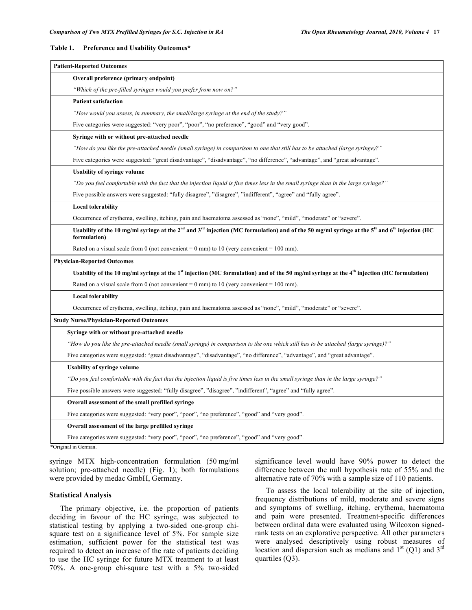#### **Table 1. Preference and Usability Outcomes\***

| Overall preference (primary endpoint)<br>"Which of the pre-filled syringes would you prefer from now on?"<br><b>Patient satisfaction</b><br>"How would you assess, in summary, the small/large syringe at the end of the study?"<br>Five categories were suggested: "very poor", "poor", "no preference", "good" and "very good".<br>Syringe with or without pre-attached needle<br>"How do you like the pre-attached needle (small syringe) in comparison to one that still has to be attached (large syringe)?"<br>Five categories were suggested: "great disadvantage", "disadvantage", "no difference", "advantage", and "great advantage".<br><b>Usability of syringe volume</b><br>"Do you feel comfortable with the fact that the injection liquid is five times less in the small syringe than in the large syringe?"<br>Five possible answers were suggested: "fully disagree", "disagree", "indifferent", "agree" and "fully agree".<br><b>Local tolerability</b><br>Occurrence of erythema, swelling, itching, pain and haematoma assessed as "none", "mild", "moderate" or "severe".<br>Usability of the 10 mg/ml syringe at the $2^{nd}$ and $3^{rd}$ injection (MC formulation) and of the 50 mg/ml syringe at the 5 <sup>th</sup> and 6 <sup>th</sup> injection (HC<br>formulation)<br>Rated on a visual scale from 0 (not convenient = $0 \text{ mm}$ ) to 10 (very convenient = $100 \text{ mm}$ ).<br>Usability of the 10 mg/ml syringe at the 1st injection (MC formulation) and of the 50 mg/ml syringe at the 4th injection (HC formulation)<br>Rated on a visual scale from 0 (not convenient = $0 \text{ mm}$ ) to 10 (very convenient = $100 \text{ mm}$ ).<br><b>Local tolerability</b><br>Occurrence of erythema, swelling, itching, pain and haematoma assessed as "none", "mild", "moderate" or "severe".<br>Syringe with or without pre-attached needle<br>"How do you like the pre-attached needle (small syringe) in comparison to the one which still has to be attached (large syringe)?"<br>Five categories were suggested: "great disadvantage", "disadvantage", "no difference", "advantage", and "great advantage".<br><b>Usability of syringe volume</b><br>"Do you feel comfortable with the fact that the injection liquid is five times less in the small syringe than in the large syringe?"<br>Five possible answers were suggested: "fully disagree", "disagree", "indifferent", "agree" and "fully agree".<br>Overall assessment of the small prefilled syringe<br>Five categories were suggested: "very poor", "poor", "no preference", "good" and "very good". | <b>Patient-Reported Outcomes</b>               |
|---------------------------------------------------------------------------------------------------------------------------------------------------------------------------------------------------------------------------------------------------------------------------------------------------------------------------------------------------------------------------------------------------------------------------------------------------------------------------------------------------------------------------------------------------------------------------------------------------------------------------------------------------------------------------------------------------------------------------------------------------------------------------------------------------------------------------------------------------------------------------------------------------------------------------------------------------------------------------------------------------------------------------------------------------------------------------------------------------------------------------------------------------------------------------------------------------------------------------------------------------------------------------------------------------------------------------------------------------------------------------------------------------------------------------------------------------------------------------------------------------------------------------------------------------------------------------------------------------------------------------------------------------------------------------------------------------------------------------------------------------------------------------------------------------------------------------------------------------------------------------------------------------------------------------------------------------------------------------------------------------------------------------------------------------------------------------------------------------------------------------------------------------------------------------------------------------------------------------------------------------------------------------------------------------------------------------------------------------------------------------------------------------------------------------------------------------------------------------------------------------------------------------------------------------------------------------------------------------------------|------------------------------------------------|
|                                                                                                                                                                                                                                                                                                                                                                                                                                                                                                                                                                                                                                                                                                                                                                                                                                                                                                                                                                                                                                                                                                                                                                                                                                                                                                                                                                                                                                                                                                                                                                                                                                                                                                                                                                                                                                                                                                                                                                                                                                                                                                                                                                                                                                                                                                                                                                                                                                                                                                                                                                                                               |                                                |
|                                                                                                                                                                                                                                                                                                                                                                                                                                                                                                                                                                                                                                                                                                                                                                                                                                                                                                                                                                                                                                                                                                                                                                                                                                                                                                                                                                                                                                                                                                                                                                                                                                                                                                                                                                                                                                                                                                                                                                                                                                                                                                                                                                                                                                                                                                                                                                                                                                                                                                                                                                                                               |                                                |
|                                                                                                                                                                                                                                                                                                                                                                                                                                                                                                                                                                                                                                                                                                                                                                                                                                                                                                                                                                                                                                                                                                                                                                                                                                                                                                                                                                                                                                                                                                                                                                                                                                                                                                                                                                                                                                                                                                                                                                                                                                                                                                                                                                                                                                                                                                                                                                                                                                                                                                                                                                                                               |                                                |
|                                                                                                                                                                                                                                                                                                                                                                                                                                                                                                                                                                                                                                                                                                                                                                                                                                                                                                                                                                                                                                                                                                                                                                                                                                                                                                                                                                                                                                                                                                                                                                                                                                                                                                                                                                                                                                                                                                                                                                                                                                                                                                                                                                                                                                                                                                                                                                                                                                                                                                                                                                                                               |                                                |
|                                                                                                                                                                                                                                                                                                                                                                                                                                                                                                                                                                                                                                                                                                                                                                                                                                                                                                                                                                                                                                                                                                                                                                                                                                                                                                                                                                                                                                                                                                                                                                                                                                                                                                                                                                                                                                                                                                                                                                                                                                                                                                                                                                                                                                                                                                                                                                                                                                                                                                                                                                                                               |                                                |
|                                                                                                                                                                                                                                                                                                                                                                                                                                                                                                                                                                                                                                                                                                                                                                                                                                                                                                                                                                                                                                                                                                                                                                                                                                                                                                                                                                                                                                                                                                                                                                                                                                                                                                                                                                                                                                                                                                                                                                                                                                                                                                                                                                                                                                                                                                                                                                                                                                                                                                                                                                                                               |                                                |
|                                                                                                                                                                                                                                                                                                                                                                                                                                                                                                                                                                                                                                                                                                                                                                                                                                                                                                                                                                                                                                                                                                                                                                                                                                                                                                                                                                                                                                                                                                                                                                                                                                                                                                                                                                                                                                                                                                                                                                                                                                                                                                                                                                                                                                                                                                                                                                                                                                                                                                                                                                                                               |                                                |
|                                                                                                                                                                                                                                                                                                                                                                                                                                                                                                                                                                                                                                                                                                                                                                                                                                                                                                                                                                                                                                                                                                                                                                                                                                                                                                                                                                                                                                                                                                                                                                                                                                                                                                                                                                                                                                                                                                                                                                                                                                                                                                                                                                                                                                                                                                                                                                                                                                                                                                                                                                                                               |                                                |
|                                                                                                                                                                                                                                                                                                                                                                                                                                                                                                                                                                                                                                                                                                                                                                                                                                                                                                                                                                                                                                                                                                                                                                                                                                                                                                                                                                                                                                                                                                                                                                                                                                                                                                                                                                                                                                                                                                                                                                                                                                                                                                                                                                                                                                                                                                                                                                                                                                                                                                                                                                                                               |                                                |
|                                                                                                                                                                                                                                                                                                                                                                                                                                                                                                                                                                                                                                                                                                                                                                                                                                                                                                                                                                                                                                                                                                                                                                                                                                                                                                                                                                                                                                                                                                                                                                                                                                                                                                                                                                                                                                                                                                                                                                                                                                                                                                                                                                                                                                                                                                                                                                                                                                                                                                                                                                                                               |                                                |
|                                                                                                                                                                                                                                                                                                                                                                                                                                                                                                                                                                                                                                                                                                                                                                                                                                                                                                                                                                                                                                                                                                                                                                                                                                                                                                                                                                                                                                                                                                                                                                                                                                                                                                                                                                                                                                                                                                                                                                                                                                                                                                                                                                                                                                                                                                                                                                                                                                                                                                                                                                                                               |                                                |
|                                                                                                                                                                                                                                                                                                                                                                                                                                                                                                                                                                                                                                                                                                                                                                                                                                                                                                                                                                                                                                                                                                                                                                                                                                                                                                                                                                                                                                                                                                                                                                                                                                                                                                                                                                                                                                                                                                                                                                                                                                                                                                                                                                                                                                                                                                                                                                                                                                                                                                                                                                                                               |                                                |
|                                                                                                                                                                                                                                                                                                                                                                                                                                                                                                                                                                                                                                                                                                                                                                                                                                                                                                                                                                                                                                                                                                                                                                                                                                                                                                                                                                                                                                                                                                                                                                                                                                                                                                                                                                                                                                                                                                                                                                                                                                                                                                                                                                                                                                                                                                                                                                                                                                                                                                                                                                                                               |                                                |
|                                                                                                                                                                                                                                                                                                                                                                                                                                                                                                                                                                                                                                                                                                                                                                                                                                                                                                                                                                                                                                                                                                                                                                                                                                                                                                                                                                                                                                                                                                                                                                                                                                                                                                                                                                                                                                                                                                                                                                                                                                                                                                                                                                                                                                                                                                                                                                                                                                                                                                                                                                                                               |                                                |
|                                                                                                                                                                                                                                                                                                                                                                                                                                                                                                                                                                                                                                                                                                                                                                                                                                                                                                                                                                                                                                                                                                                                                                                                                                                                                                                                                                                                                                                                                                                                                                                                                                                                                                                                                                                                                                                                                                                                                                                                                                                                                                                                                                                                                                                                                                                                                                                                                                                                                                                                                                                                               |                                                |
|                                                                                                                                                                                                                                                                                                                                                                                                                                                                                                                                                                                                                                                                                                                                                                                                                                                                                                                                                                                                                                                                                                                                                                                                                                                                                                                                                                                                                                                                                                                                                                                                                                                                                                                                                                                                                                                                                                                                                                                                                                                                                                                                                                                                                                                                                                                                                                                                                                                                                                                                                                                                               | <b>Physician-Reported Outcomes</b>             |
|                                                                                                                                                                                                                                                                                                                                                                                                                                                                                                                                                                                                                                                                                                                                                                                                                                                                                                                                                                                                                                                                                                                                                                                                                                                                                                                                                                                                                                                                                                                                                                                                                                                                                                                                                                                                                                                                                                                                                                                                                                                                                                                                                                                                                                                                                                                                                                                                                                                                                                                                                                                                               |                                                |
|                                                                                                                                                                                                                                                                                                                                                                                                                                                                                                                                                                                                                                                                                                                                                                                                                                                                                                                                                                                                                                                                                                                                                                                                                                                                                                                                                                                                                                                                                                                                                                                                                                                                                                                                                                                                                                                                                                                                                                                                                                                                                                                                                                                                                                                                                                                                                                                                                                                                                                                                                                                                               |                                                |
|                                                                                                                                                                                                                                                                                                                                                                                                                                                                                                                                                                                                                                                                                                                                                                                                                                                                                                                                                                                                                                                                                                                                                                                                                                                                                                                                                                                                                                                                                                                                                                                                                                                                                                                                                                                                                                                                                                                                                                                                                                                                                                                                                                                                                                                                                                                                                                                                                                                                                                                                                                                                               |                                                |
|                                                                                                                                                                                                                                                                                                                                                                                                                                                                                                                                                                                                                                                                                                                                                                                                                                                                                                                                                                                                                                                                                                                                                                                                                                                                                                                                                                                                                                                                                                                                                                                                                                                                                                                                                                                                                                                                                                                                                                                                                                                                                                                                                                                                                                                                                                                                                                                                                                                                                                                                                                                                               |                                                |
|                                                                                                                                                                                                                                                                                                                                                                                                                                                                                                                                                                                                                                                                                                                                                                                                                                                                                                                                                                                                                                                                                                                                                                                                                                                                                                                                                                                                                                                                                                                                                                                                                                                                                                                                                                                                                                                                                                                                                                                                                                                                                                                                                                                                                                                                                                                                                                                                                                                                                                                                                                                                               | <b>Study Nurse/Physician-Reported Outcomes</b> |
|                                                                                                                                                                                                                                                                                                                                                                                                                                                                                                                                                                                                                                                                                                                                                                                                                                                                                                                                                                                                                                                                                                                                                                                                                                                                                                                                                                                                                                                                                                                                                                                                                                                                                                                                                                                                                                                                                                                                                                                                                                                                                                                                                                                                                                                                                                                                                                                                                                                                                                                                                                                                               |                                                |
|                                                                                                                                                                                                                                                                                                                                                                                                                                                                                                                                                                                                                                                                                                                                                                                                                                                                                                                                                                                                                                                                                                                                                                                                                                                                                                                                                                                                                                                                                                                                                                                                                                                                                                                                                                                                                                                                                                                                                                                                                                                                                                                                                                                                                                                                                                                                                                                                                                                                                                                                                                                                               |                                                |
|                                                                                                                                                                                                                                                                                                                                                                                                                                                                                                                                                                                                                                                                                                                                                                                                                                                                                                                                                                                                                                                                                                                                                                                                                                                                                                                                                                                                                                                                                                                                                                                                                                                                                                                                                                                                                                                                                                                                                                                                                                                                                                                                                                                                                                                                                                                                                                                                                                                                                                                                                                                                               |                                                |
|                                                                                                                                                                                                                                                                                                                                                                                                                                                                                                                                                                                                                                                                                                                                                                                                                                                                                                                                                                                                                                                                                                                                                                                                                                                                                                                                                                                                                                                                                                                                                                                                                                                                                                                                                                                                                                                                                                                                                                                                                                                                                                                                                                                                                                                                                                                                                                                                                                                                                                                                                                                                               |                                                |
|                                                                                                                                                                                                                                                                                                                                                                                                                                                                                                                                                                                                                                                                                                                                                                                                                                                                                                                                                                                                                                                                                                                                                                                                                                                                                                                                                                                                                                                                                                                                                                                                                                                                                                                                                                                                                                                                                                                                                                                                                                                                                                                                                                                                                                                                                                                                                                                                                                                                                                                                                                                                               |                                                |
|                                                                                                                                                                                                                                                                                                                                                                                                                                                                                                                                                                                                                                                                                                                                                                                                                                                                                                                                                                                                                                                                                                                                                                                                                                                                                                                                                                                                                                                                                                                                                                                                                                                                                                                                                                                                                                                                                                                                                                                                                                                                                                                                                                                                                                                                                                                                                                                                                                                                                                                                                                                                               |                                                |
|                                                                                                                                                                                                                                                                                                                                                                                                                                                                                                                                                                                                                                                                                                                                                                                                                                                                                                                                                                                                                                                                                                                                                                                                                                                                                                                                                                                                                                                                                                                                                                                                                                                                                                                                                                                                                                                                                                                                                                                                                                                                                                                                                                                                                                                                                                                                                                                                                                                                                                                                                                                                               |                                                |
|                                                                                                                                                                                                                                                                                                                                                                                                                                                                                                                                                                                                                                                                                                                                                                                                                                                                                                                                                                                                                                                                                                                                                                                                                                                                                                                                                                                                                                                                                                                                                                                                                                                                                                                                                                                                                                                                                                                                                                                                                                                                                                                                                                                                                                                                                                                                                                                                                                                                                                                                                                                                               |                                                |
| Overall assessment of the large prefilled syringe                                                                                                                                                                                                                                                                                                                                                                                                                                                                                                                                                                                                                                                                                                                                                                                                                                                                                                                                                                                                                                                                                                                                                                                                                                                                                                                                                                                                                                                                                                                                                                                                                                                                                                                                                                                                                                                                                                                                                                                                                                                                                                                                                                                                                                                                                                                                                                                                                                                                                                                                                             |                                                |
| Five categories were suggested: "very poor", "poor", "no preference", "good" and "very good".                                                                                                                                                                                                                                                                                                                                                                                                                                                                                                                                                                                                                                                                                                                                                                                                                                                                                                                                                                                                                                                                                                                                                                                                                                                                                                                                                                                                                                                                                                                                                                                                                                                                                                                                                                                                                                                                                                                                                                                                                                                                                                                                                                                                                                                                                                                                                                                                                                                                                                                 |                                                |

\*Original in German.

syringe MTX high-concentration formulation (50 mg/ml solution; pre-attached needle) (Fig. **1**); both formulations were provided by medac GmbH, Germany.

### **Statistical Analysis**

 The primary objective, i.e. the proportion of patients deciding in favour of the HC syringe, was subjected to statistical testing by applying a two-sided one-group chisquare test on a significance level of 5%. For sample size estimation, sufficient power for the statistical test was required to detect an increase of the rate of patients deciding to use the HC syringe for future MTX treatment to at least 70%. A one-group chi-square test with a 5% two-sided

significance level would have 90% power to detect the difference between the null hypothesis rate of 55% and the alternative rate of 70% with a sample size of 110 patients.

 To assess the local tolerability at the site of injection, frequency distributions of mild, moderate and severe signs and symptoms of swelling, itching, erythema, haematoma and pain were presented. Treatment-specific differences between ordinal data were evaluated using Wilcoxon signedrank tests on an explorative perspective. All other parameters were analysed descriptively using robust measures of location and dispersion such as medians and  $1<sup>st</sup>$  (Q1) and  $3<sup>rd</sup>$ quartiles (Q3).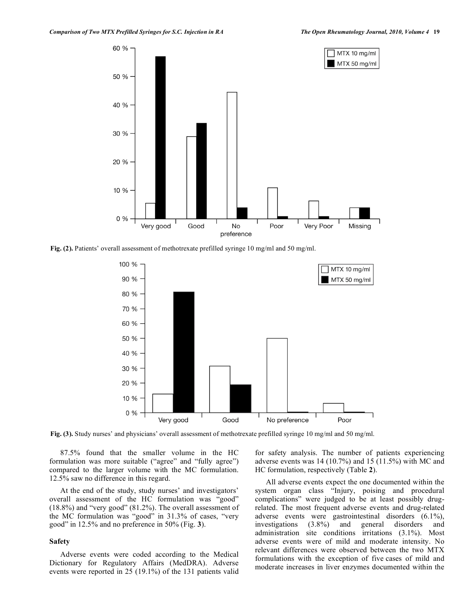**Fig. (2).** Patients' overall assessment of methotrexate prefilled syringe 10 mg/ml and 50 mg/ml.

**Fig. (3).** Study nurses' and physicians' overall assessment of methotrexate prefilled syringe 10 mg/ml and 50 mg/ml.

 87.5% found that the smaller volume in the HC formulation was more suitable ("agree" and "fully agree") compared to the larger volume with the MC formulation. 12.5% saw no difference in this regard.

 At the end of the study, study nurses' and investigators' overall assessment of the HC formulation was "good" (18.8%) and "very good" (81.2%). The overall assessment of the MC formulation was "good" in 31.3% of cases, "very good" in 12.5% and no preference in 50% (Fig. **3**).

#### **Safety**

 Adverse events were coded according to the Medical Dictionary for Regulatory Affairs (MedDRA). Adverse events were reported in 25 (19.1%) of the 131 patients valid

for safety analysis. The number of patients experiencing adverse events was 14 (10.7%) and 15 (11.5%) with MC and HC formulation, respectively (Table **2**).

 All adverse events expect the one documented within the system organ class "Injury, poising and procedural complications" were judged to be at least possibly drugrelated. The most frequent adverse events and drug-related adverse events were gastrointestinal disorders (6.1%), investigations (3.8%) and general disorders and administration site conditions irritations (3.1%). Most adverse events were of mild and moderate intensity. No relevant differences were observed between the two MTX formulations with the exception of five cases of mild and moderate increases in liver enzymes documented within the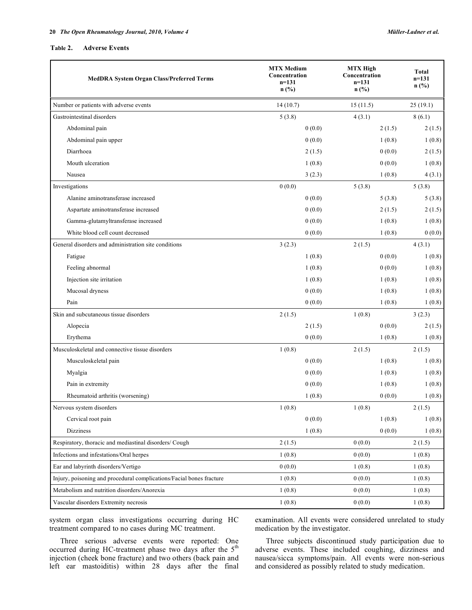#### **Table 2. Adverse Events**

| <b>MedDRA System Organ Class/Preferred Terms</b>                     | <b>MTX Medium</b><br>Concentration<br>$n=131$<br>$n$ (%) | <b>MTX High</b><br>Concentration<br>$n=131$<br>$n$ (%) | <b>Total</b><br>$n=131$<br>$n$ (%) |
|----------------------------------------------------------------------|----------------------------------------------------------|--------------------------------------------------------|------------------------------------|
| Number or patients with adverse events                               | 14(10.7)                                                 | 15(11.5)                                               | 25(19.1)                           |
| Gastrointestinal disorders                                           | 5(3.8)                                                   | 4(3.1)                                                 | 8(6.1)                             |
| Abdominal pain                                                       | 0(0.0)                                                   | 2(1.5)                                                 | 2(1.5)                             |
| Abdominal pain upper                                                 | 0(0.0)                                                   | 1(0.8)                                                 | 1(0.8)                             |
| Diarrhoea                                                            | 2(1.5)                                                   | 0(0.0)                                                 | 2(1.5)                             |
| Mouth ulceration                                                     | 1(0.8)                                                   | 0(0.0)                                                 | 1(0.8)                             |
| Nausea                                                               | 3(2.3)                                                   | 1(0.8)                                                 | 4(3.1)                             |
| Investigations                                                       | 0(0.0)                                                   | 5(3.8)                                                 | 5(3.8)                             |
| Alanine aminotransferase increased                                   | 0(0.0)                                                   | 5(3.8)                                                 | 5(3.8)                             |
| Aspartate aminotransferase increased                                 | 0(0.0)                                                   | 2(1.5)                                                 | 2(1.5)                             |
| Gamma-glutamyltransferase increased                                  | 0(0.0)                                                   | 1(0.8)                                                 | 1(0.8)                             |
| White blood cell count decreased                                     | 0(0.0)                                                   | 1(0.8)                                                 | 0(0.0)                             |
| General disorders and administration site conditions                 | 3(2.3)                                                   | 2(1.5)                                                 | 4(3.1)                             |
| Fatigue                                                              | 1(0.8)                                                   | 0(0.0)                                                 | 1(0.8)                             |
| Feeling abnormal                                                     | 1(0.8)                                                   | 0(0.0)                                                 | 1(0.8)                             |
| Injection site irritation                                            | 1(0.8)                                                   | 1(0.8)                                                 | 1(0.8)                             |
| Mucosal dryness                                                      | 0(0.0)                                                   | 1(0.8)                                                 | 1(0.8)                             |
| Pain                                                                 | 0(0.0)                                                   | 1(0.8)                                                 | 1(0.8)                             |
| Skin and subcutaneous tissue disorders                               | 2(1.5)                                                   | 1(0.8)                                                 | 3(2.3)                             |
| Alopecia                                                             | 2(1.5)                                                   | 0(0.0)                                                 | 2(1.5)                             |
| Erythema                                                             | 0(0.0)                                                   | 1(0.8)                                                 | 1(0.8)                             |
| Musculoskeletal and connective tissue disorders                      | 1(0.8)                                                   | 2(1.5)                                                 | 2(1.5)                             |
| Musculoskeletal pain                                                 | 0(0.0)                                                   | 1(0.8)                                                 | 1(0.8)                             |
| Myalgia                                                              | 0(0.0)                                                   | 1(0.8)                                                 | 1(0.8)                             |
| Pain in extremity                                                    | 0(0.0)                                                   | 1(0.8)                                                 | 1(0.8)                             |
| Rheumatoid arthritis (worsening)                                     | 1(0.8)                                                   | 0(0.0)                                                 | 1(0.8)                             |
| Nervous system disorders                                             | 1(0.8)                                                   | 1(0.8)                                                 | 2(1.5)                             |
| Cervical root pain                                                   | 0(0.0)                                                   | 1(0.8)                                                 | 1(0.8)                             |
| <b>Dizziness</b>                                                     | 1(0.8)                                                   | 0(0.0)                                                 | 1(0.8)                             |
| Respiratory, thoracic and mediastinal disorders/ Cough               | 2(1.5)                                                   | 0(0.0)                                                 | 2(1.5)                             |
| Infections and infestations/Oral herpes                              | 1(0.8)                                                   | 0(0.0)                                                 | 1(0.8)                             |
| Ear and labyrinth disorders/Vertigo                                  | 0(0.0)                                                   | 1(0.8)                                                 | 1(0.8)                             |
| Injury, poisoning and procedural complications/Facial bones fracture | 1(0.8)                                                   | 0(0.0)                                                 | 1(0.8)                             |
| Metabolism and nutrition disorders/Anorexia                          | 1(0.8)                                                   | 0(0.0)                                                 | 1(0.8)                             |
| Vascular disorders Extremity necrosis                                | 1(0.8)                                                   | 0(0.0)                                                 | 1(0.8)                             |

system organ class investigations occurring during HC treatment compared to no cases during MC treatment.

 Three serious adverse events were reported: One occurred during HC-treatment phase two days after the  $5<sup>th</sup>$ injection (cheek bone fracture) and two others (back pain and left ear mastoiditis) within 28 days after the final

examination. All events were considered unrelated to study medication by the investigator.

 Three subjects discontinued study participation due to adverse events. These included coughing, dizziness and nausea/sicca symptoms/pain. All events were non-serious and considered as possibly related to study medication.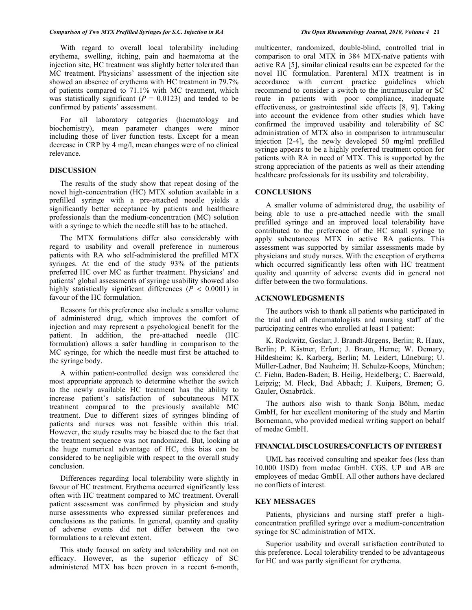With regard to overall local tolerability including erythema, swelling, itching, pain and haematoma at the injection site, HC treatment was slightly better tolerated than MC treatment. Physicians' assessment of the injection site showed an absence of erythema with HC treatment in 79.7% of patients compared to 71.1% with MC treatment, which was statistically significant  $(P = 0.0123)$  and tended to be confirmed by patients' assessment.

 For all laboratory categories (haematology and biochemistry), mean parameter changes were minor including those of liver function tests. Except for a mean decrease in CRP by 4 mg/l, mean changes were of no clinical relevance.

## **DISCUSSION**

 The results of the study show that repeat dosing of the novel high-concentration (HC) MTX solution available in a prefilled syringe with a pre-attached needle yields a significantly better acceptance by patients and healthcare professionals than the medium-concentration (MC) solution with a syringe to which the needle still has to be attached.

 The MTX formulations differ also considerably with regard to usability and overall preference in numerous patients with RA who self-administered the prefilled MTX syringes. At the end of the study 93% of the patients preferred HC over MC as further treatment. Physicians' and patients' global assessments of syringe usability showed also highly statistically significant differences (*P* < 0.0001) in favour of the HC formulation.

 Reasons for this preference also include a smaller volume of administered drug, which improves the comfort of injection and may represent a psychological benefit for the patient. In addition, the pre-attached needle (HC formulation) allows a safer handling in comparison to the MC syringe, for which the needle must first be attached to the syringe body.

 A within patient-controlled design was considered the most appropriate approach to determine whether the switch to the newly available HC treatment has the ability to increase patient's satisfaction of subcutaneous MTX treatment compared to the previously available MC treatment. Due to different sizes of syringes blinding of patients and nurses was not feasible within this trial. However, the study results may be biased due to the fact that the treatment sequence was not randomized. But, looking at the huge numerical advantage of HC, this bias can be considered to be negligible with respect to the overall study conclusion.

 Differences regarding local tolerability were slightly in favour of HC treatment. Erythema occurred significantly less often with HC treatment compared to MC treatment. Overall patient assessment was confirmed by physician and study nurse assessments who expressed similar preferences and conclusions as the patients. In general, quantity and quality of adverse events did not differ between the two formulations to a relevant extent.

 This study focused on safety and tolerability and not on efficacy. However, as the superior efficacy of SC administered MTX has been proven in a recent 6-month,

multicenter, randomized, double-blind, controlled trial in comparison to oral MTX in 384 MTX-naïve patients with active RA [5], similar clinical results can be expected for the novel HC formulation. Parenteral MTX treatment is in accordance with current practice guidelines which recommend to consider a switch to the intramuscular or SC route in patients with poor compliance, inadequate effectiveness, or gastrointestinal side effects [8, 9]. Taking into account the evidence from other studies which have confirmed the improved usability and tolerability of SC administration of MTX also in comparison to intramuscular injection [2-4], the newly developed 50 mg/ml prefilled syringe appears to be a highly preferred treatment option for patients with RA in need of MTX. This is supported by the strong appreciation of the patients as well as their attending healthcare professionals for its usability and tolerability.

## **CONCLUSIONS**

 A smaller volume of administered drug, the usability of being able to use a pre-attached needle with the small prefilled syringe and an improved local tolerability have contributed to the preference of the HC small syringe to apply subcutaneous MTX in active RA patients. This assessment was supported by similar assessments made by physicians and study nurses. With the exception of erythema which occurred significantly less often with HC treatment quality and quantity of adverse events did in general not differ between the two formulations.

#### **ACKNOWLEDGSMENTS**

 The authors wish to thank all patients who participated in the trial and all rheumatologists and nursing staff of the participating centres who enrolled at least 1 patient:

 K. Rockwitz, Goslar; J. Brandt-Jürgens, Berlin; R. Haux, Berlin; P. Kästner, Erfurt; J. Braun, Herne; W. Demary, Hildesheim; K. Karberg, Berlin; M. Leidert, Lüneburg; U. Müller-Ladner, Bad Nauheim; H. Schulze-Koops, München; C. Fiehn, Baden-Baden; B. Heilig, Heidelberg; C. Baerwald, Leipzig; M. Fleck, Bad Abbach; J. Kuipers, Bremen; G. Gauler, Osnabrück.

 The authors also wish to thank Sonja Böhm, medac GmbH, for her excellent monitoring of the study and Martin Bornemann, who provided medical writing support on behalf of medac GmbH.

# **FINANCIAL DISCLOSURES/CONFLICTS OF INTEREST**

 UML has received consulting and speaker fees (less than 10.000 USD) from medac GmbH. CGS, UP and AB are employees of medac GmbH. All other authors have declared no conflicts of interest.

#### **KEY MESSAGES**

 Patients, physicians and nursing staff prefer a highconcentration prefilled syringe over a medium-concentration syringe for SC administration of MTX.

 Superior usability and overall satisfaction contributed to this preference. Local tolerability trended to be advantageous for HC and was partly significant for erythema.